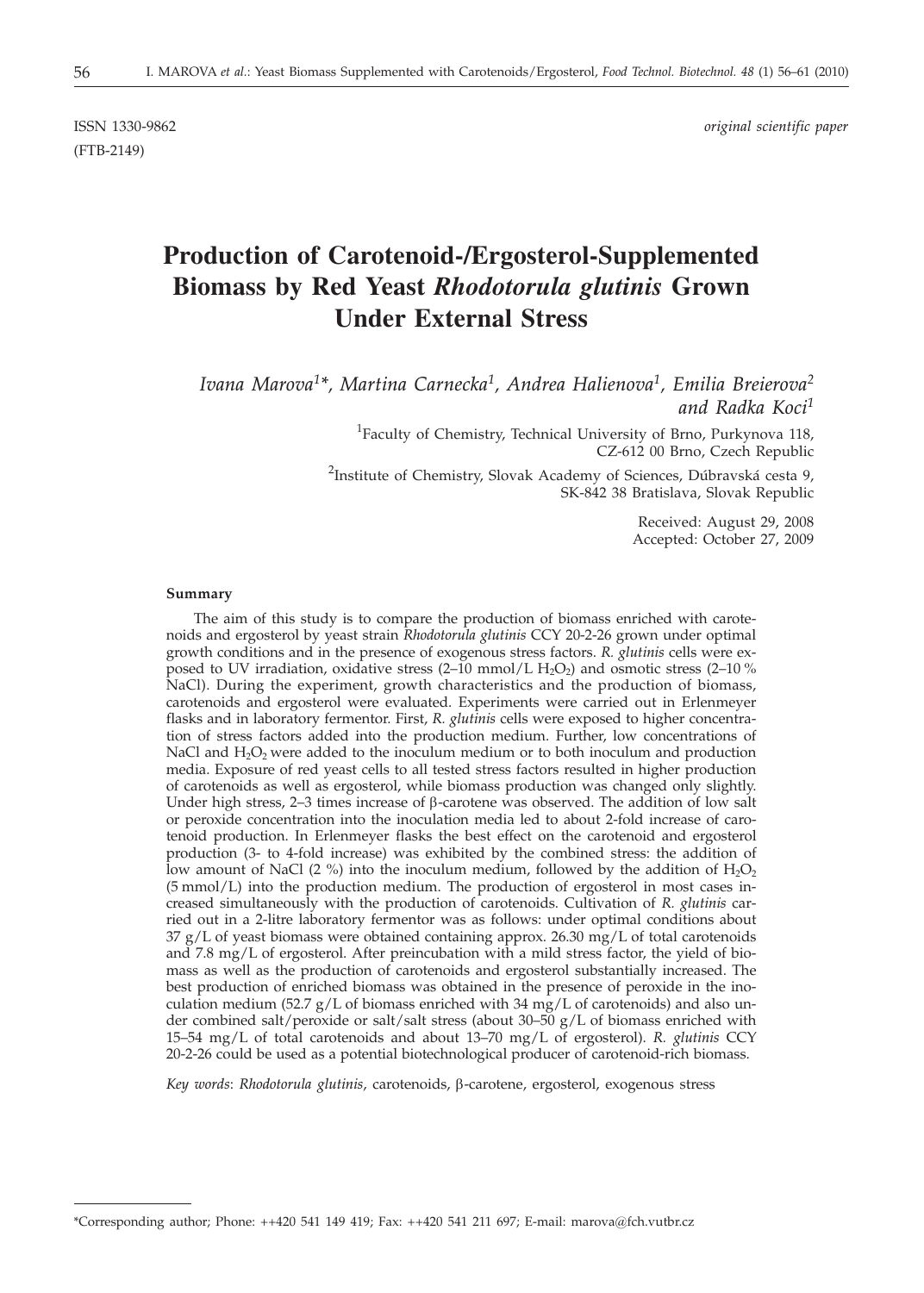(FTB-2149)

ISSN 1330-9862 *original scientific paper*

# **Production of Carotenoid-/Ergosterol-Supplemented Biomass by Red Yeast** *Rhodotorula glutinis* **Grown Under External Stress**

*Ivana Marova1\*, Martina Carnecka1, Andrea Halienova1, Emilia Breierova2 and Radka Koci1*

> <sup>1</sup>Faculty of Chemistry, Technical University of Brno, Purkynova 118, CZ-612 00 Brno, Czech Republic

<sup>2</sup>Institute of Chemistry, Slovak Academy of Sciences, Dúbravská cesta 9, SK-842 38 Bratislava, Slovak Republic

> Received: August 29, 2008 Accepted: October 27, 2009

#### **Summary**

The aim of this study is to compare the production of biomass enriched with carotenoids and ergosterol by yeast strain *Rhodotorula glutinis* CCY 20-2-26 grown under optimal growth conditions and in the presence of exogenous stress factors. *R. glutinis* cells were exposed to UV irradiation, oxidative stress  $(2-\tilde{10} \text{ mmol/L H}_2O_2)$  and osmotic stress  $(2-10\%$ NaCl). During the experiment, growth characteristics and the production of biomass, carotenoids and ergosterol were evaluated. Experiments were carried out in Erlenmeyer flasks and in laboratory fermentor. First, *R. glutinis* cells were exposed to higher concentration of stress factors added into the production medium. Further, low concentrations of NaCl and  $H_2O_2$  were added to the inoculum medium or to both inoculum and production media. Exposure of red yeast cells to all tested stress factors resulted in higher production of carotenoids as well as ergosterol, while biomass production was changed only slightly. Under high stress, 2–3 times increase of  $\beta$ -carotene was observed. The addition of low salt or peroxide concentration into the inoculation media led to about 2-fold increase of carotenoid production. In Erlenmeyer flasks the best effect on the carotenoid and ergosterol production (3- to 4-fold increase) was exhibited by the combined stress: the addition of low amount of NaCl (2 %) into the inoculum medium, followed by the addition of  $H_2O_2$ (5 mmol/L) into the production medium. The production of ergosterol in most cases increased simultaneously with the production of carotenoids. Cultivation of *R. glutinis* carried out in a 2-litre laboratory fermentor was as follows: under optimal conditions about  $37 g/L$  of yeast biomass were obtained containing approx. 26.30 mg/L of total carotenoids and 7.8 mg/L of ergosterol. After preincubation with a mild stress factor, the yield of biomass as well as the production of carotenoids and ergosterol substantially increased. The best production of enriched biomass was obtained in the presence of peroxide in the inoculation medium (52.7  $g/L$  of biomass enriched with 34 mg/L of carotenoids) and also under combined salt/peroxide or salt/salt stress (about 30–50  $g/L$  of biomass enriched with 15–54 mg/L of total carotenoids and about 13–70 mg/L of ergosterol). *R. glutinis* CCY 20-2-26 could be used as a potential biotechnological producer of carotenoid-rich biomass.

*Key words*: *Rhodotorula glutinis*, carotenoids, b-carotene, ergosterol, exogenous stress

\*Corresponding author; Phone: ++420 541 149 419; Fax: ++420 541 211 697; E-mail: marova*@*fch.vutbr.cz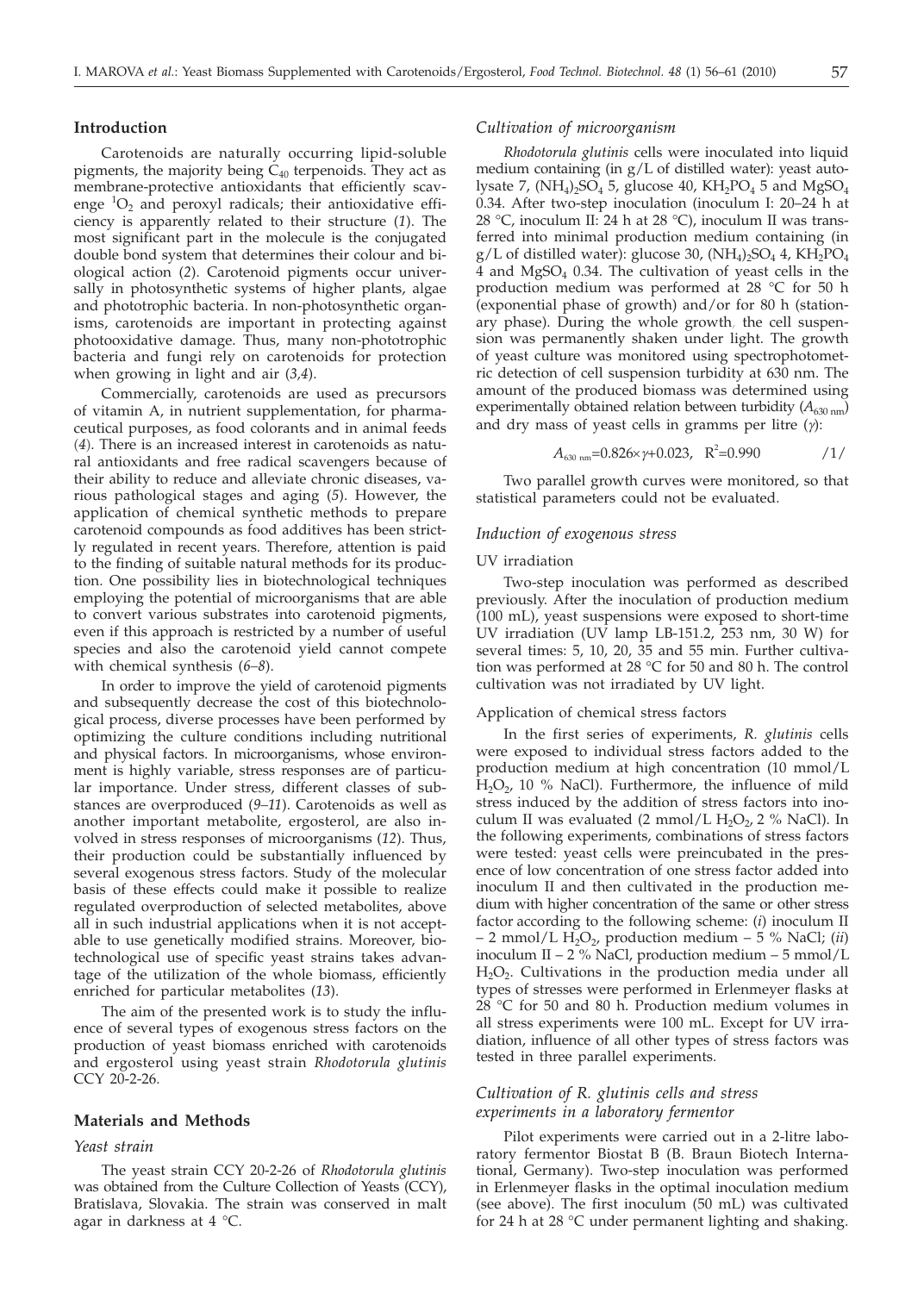#### **Introduction**

Carotenoids are naturally occurring lipid-soluble pigments, the majority being  $C_{40}$  terpenoids. They act as membrane-protective antioxidants that efficiently scavenge  ${}^{1}O_{2}$  and peroxyl radicals; their antioxidative efficiency is apparently related to their structure (*1*). The most significant part in the molecule is the conjugated double bond system that determines their colour and biological action (*2*). Carotenoid pigments occur universally in photosynthetic systems of higher plants, algae and phototrophic bacteria. In non-photosynthetic organisms, carotenoids are important in protecting against photooxidative damage. Thus, many non-phototrophic bacteria and fungi rely on carotenoids for protection when growing in light and air (*3,4*).

Commercially, carotenoids are used as precursors of vitamin A, in nutrient supplementation, for pharmaceutical purposes, as food colorants and in animal feeds (*4*). There is an increased interest in carotenoids as natural antioxidants and free radical scavengers because of their ability to reduce and alleviate chronic diseases, various pathological stages and aging (*5*). However, the application of chemical synthetic methods to prepare carotenoid compounds as food additives has been strictly regulated in recent years. Therefore, attention is paid to the finding of suitable natural methods for its production. One possibility lies in biotechnological techniques employing the potential of microorganisms that are able to convert various substrates into carotenoid pigments, even if this approach is restricted by a number of useful species and also the carotenoid yield cannot compete with chemical synthesis (*6–8*).

In order to improve the yield of carotenoid pigments and subsequently decrease the cost of this biotechnological process, diverse processes have been performed by optimizing the culture conditions including nutritional and physical factors. In microorganisms, whose environment is highly variable, stress responses are of particular importance. Under stress, different classes of substances are overproduced (*9–11*). Carotenoids as well as another important metabolite, ergosterol, are also involved in stress responses of microorganisms (*12*). Thus, their production could be substantially influenced by several exogenous stress factors. Study of the molecular basis of these effects could make it possible to realize regulated overproduction of selected metabolites, above all in such industrial applications when it is not acceptable to use genetically modified strains. Moreover, biotechnological use of specific yeast strains takes advantage of the utilization of the whole biomass, efficiently enriched for particular metabolites (*13*).

The aim of the presented work is to study the influence of several types of exogenous stress factors on the production of yeast biomass enriched with carotenoids and ergosterol using yeast strain *Rhodotorula glutinis* CCY 20-2-26.

#### **Materials and Methods**

### *Yeast strain*

The yeast strain CCY 20-2-26 of *Rhodotorula glutinis* was obtained from the Culture Collection of Yeasts (CCY), Bratislava, Slovakia. The strain was conserved in malt agar in darkness at 4 °C.

#### *Cultivation of microorganism*

*Rhodotorula glutinis* cells were inoculated into liquid medium containing (in g/L of distilled water): yeast autolysate 7,  $(NH_4)_2SO_4$  5, glucose 40,  $KH_2PO_4$  5 and  $MgSO_4$ 0.34. After two-step inoculation (inoculum I: 20–24 h at 28 °C, inoculum II: 24 h at 28 °C), inoculum II was transferred into minimal production medium containing (in g/L of distilled water): glucose 30,  $(NH_4)_2SO_4$  4,  $KH_2PO_4$ 4 and  $MgSO<sub>4</sub>$  0.34. The cultivation of yeast cells in the production medium was performed at 28 °C for 50 h (exponential phase of growth) and/or for 80 h (stationary phase). During the whole growth, the cell suspension was permanently shaken under light. The growth of yeast culture was monitored using spectrophotometric detection of cell suspension turbidity at 630 nm. The amount of the produced biomass was determined using experimentally obtained relation between turbidity  $(A_{630 \text{ nm}})$ and dry mass of yeast cells in gramms per litre (*g*):

$$
A_{630 \text{ nm}} = 0.826 \times \gamma + 0.023, \quad \mathbf{R}^2 = 0.990 \tag{1/}
$$

Two parallel growth curves were monitored, so that statistical parameters could not be evaluated.

#### *Induction of exogenous stress*

#### UV irradiation

Two-step inoculation was performed as described previously. After the inoculation of production medium (100 mL), yeast suspensions were exposed to short-time UV irradiation (UV lamp LB-151.2, 253 nm, 30 W) for several times: 5, 10, 20, 35 and 55 min. Further cultivation was performed at 28 °C for 50 and 80 h. The control cultivation was not irradiated by UV light.

#### Application of chemical stress factors

In the first series of experiments, *R. glutinis* cells were exposed to individual stress factors added to the production medium at high concentration (10 mmol/L  $H_2O_2$ , 10 % NaCl). Furthermore, the influence of mild stress induced by the addition of stress factors into inoculum II was evaluated (2 mmol/L  $H_2O_2$ , 2 % NaCl). In the following experiments, combinations of stress factors were tested: yeast cells were preincubated in the presence of low concentration of one stress factor added into inoculum II and then cultivated in the production medium with higher concentration of the same or other stress factor according to the following scheme: (*i*) inoculum II  $-$  2 mmol/L H<sub>2</sub>O<sub>2</sub>, production medium  $-$  5 % NaCl; *(ii)* inoculum II – 2 % NaCl, production medium – 5 mmol/L  $H_2O_2$ . Cultivations in the production media under all types of stresses were performed in Erlenmeyer flasks at 28 °C for 50 and 80 h. Production medium volumes in all stress experiments were 100 mL. Except for UV irradiation, influence of all other types of stress factors was tested in three parallel experiments.

# *Cultivation of R. glutinis cells and stress experiments in a laboratory fermentor*

Pilot experiments were carried out in a 2-litre laboratory fermentor Biostat B (B. Braun Biotech International, Germany). Two-step inoculation was performed in Erlenmeyer flasks in the optimal inoculation medium (see above). The first inoculum (50 mL) was cultivated for 24 h at 28 °C under permanent lighting and shaking.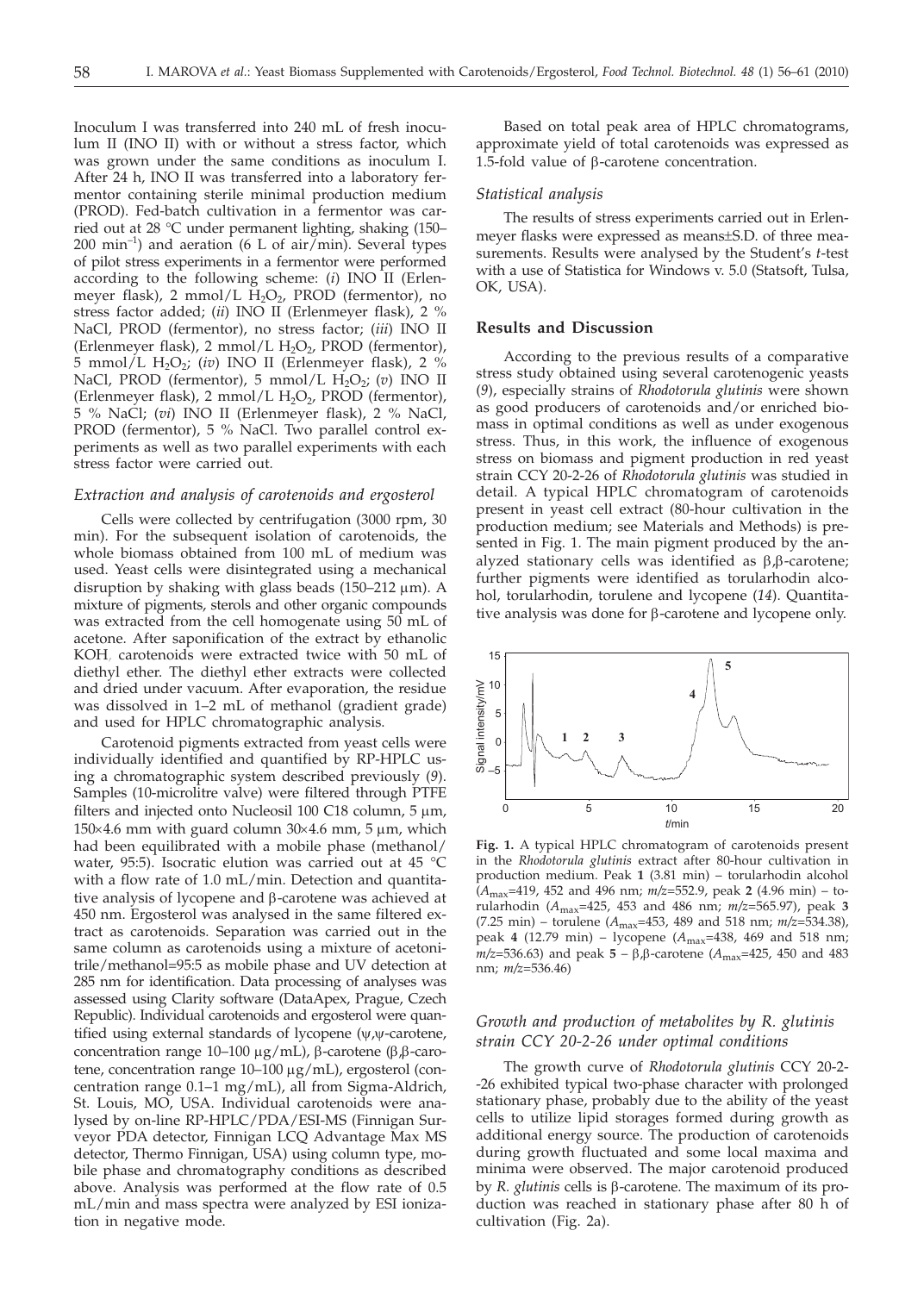Inoculum I was transferred into 240 mL of fresh inoculum II (INO II) with or without a stress factor, which was grown under the same conditions as inoculum I. After 24 h, INO II was transferred into a laboratory fermentor containing sterile minimal production medium (PROD). Fed-batch cultivation in a fermentor was carried out at 28 °C under permanent lighting, shaking (150–  $200 \text{ min}^{-1}$ ) and aeration (6 L of air/min). Several types of pilot stress experiments in a fermentor were performed according to the following scheme: (*i*) INO II (Erlenmeyer flask), 2 mmol/L  $H_2O_2$ , PROD (fermentor), no stress factor added; (*ii*) INO II (Erlenmeyer flask), 2 % NaCl, PROD (fermentor), no stress factor; (*iii*) INO II (Erlenmeyer flask), 2 mmol/L  $H_2O_2$ , PROD (fermentor), 5 mmol/L  $H_2O_2$ ; (*iv*) INO II (Erlenmeyer flask), 2 % NaCl, PROD (fermentor), 5 mmol/L H<sub>2</sub>O<sub>2</sub>; (*v*) INO II (Erlenmeyer flask), 2 mmol/L  $H_2O_2$ , PROD (fermentor), 5 % NaCl; (*vi*) INO II (Erlenmeyer flask), 2 % NaCl, PROD (fermentor), 5 % NaCl. Two parallel control experiments as well as two parallel experiments with each stress factor were carried out.

# *Extraction and analysis of carotenoids and ergosterol*

Cells were collected by centrifugation (3000 rpm, 30 min). For the subsequent isolation of carotenoids, the whole biomass obtained from 100 mL of medium was used. Yeast cells were disintegrated using a mechanical disruption by shaking with glass beads  $(150-212 \mu m)$ . A mixture of pigments, sterols and other organic compounds was extracted from the cell homogenate using 50 mL of acetone. After saponification of the extract by ethanolic KOH, carotenoids were extracted twice with 50 mL of diethyl ether. The diethyl ether extracts were collected and dried under vacuum. After evaporation, the residue was dissolved in 1–2 mL of methanol (gradient grade) and used for HPLC chromatographic analysis.

Carotenoid pigments extracted from yeast cells were individually identified and quantified by RP-HPLC using a chromatographic system described previously (*9*). Samples (10-microlitre valve) were filtered through PTFE filters and injected onto Nucleosil 100 C18 column,  $5 \mu m$ ,  $150\times4.6$  mm with guard column  $30\times4.6$  mm,  $5 \mu$ m, which had been equilibrated with a mobile phase (methanol/ water, 95:5). Isocratic elution was carried out at 45 °C with a flow rate of 1.0 mL/min. Detection and quantitative analysis of lycopene and  $\beta$ -carotene was achieved at 450 nm. Ergosterol was analysed in the same filtered extract as carotenoids. Separation was carried out in the same column as carotenoids using a mixture of acetonitrile/methanol=95:5 as mobile phase and UV detection at 285 nm for identification. Data processing of analyses was assessed using Clarity software (DataApex, Prague, Czech Republic). Individual carotenoids and ergosterol were quantified using external standards of lycopene  $(\psi, \psi$ -carotene, concentration range 10-100  $\mu$ g/mL),  $\beta$ -carotene ( $\beta$ , $\beta$ -carotene, concentration range 10-100 μg/mL), ergosterol (concentration range 0.1–1 mg/mL), all from Sigma-Aldrich, St. Louis, MO, USA. Individual carotenoids were analysed by on-line RP-HPLC/PDA/ESI-MS (Finnigan Surveyor PDA detector, Finnigan LCQ Advantage Max MS detector, Thermo Finnigan, USA) using column type, mobile phase and chromatography conditions as described above. Analysis was performed at the flow rate of 0.5 mL/min and mass spectra were analyzed by ESI ionization in negative mode.

Based on total peak area of HPLC chromatograms, approximate yield of total carotenoids was expressed as 1.5-fold value of  $\beta$ -carotene concentration.

#### *Statistical analysis*

The results of stress experiments carried out in Erlenmeyer flasks were expressed as means±S.D. of three measurements. Results were analysed by the Student's *t*-test with a use of Statistica for Windows v. 5.0 (Statsoft, Tulsa, OK, USA).

#### **Results and Discussion**

According to the previous results of a comparative stress study obtained using several carotenogenic yeasts (*9*), especially strains of *Rhodotorula glutinis* were shown as good producers of carotenoids and/or enriched biomass in optimal conditions as well as under exogenous stress. Thus, in this work, the influence of exogenous stress on biomass and pigment production in red yeast strain CCY 20-2-26 of *Rhodotorula glutinis* was studied in detail. A typical HPLC chromatogram of carotenoids present in yeast cell extract (80-hour cultivation in the production medium; see Materials and Methods) is presented in Fig. 1. The main pigment produced by the analyzed stationary cells was identified as  $\beta$ , $\beta$ -carotene; further pigments were identified as torularhodin alcohol, torularhodin, torulene and lycopene (*14*). Quantitative analysis was done for  $\beta$ -carotene and lycopene only.



**Fig. 1.** A typical HPLC chromatogram of carotenoids present in the *Rhodotorula glutinis* extract after 80-hour cultivation in production medium. Peak **1** (3.81 min) – torularhodin alcohol (*A*max=419, 452 and 496 nm; *m/z*=552.9, peak **2** (4.96 min) – torularhodin (*A*max=425, 453 and 486 nm; *m/z*=565.97), peak **3** (7.25 min) – torulene (*A*max=453, 489 and 518 nm; *m/z*=534.38), peak **4** (12.79 min) – lycopene (*A*max=438, 469 and 518 nm;  $m/z = 536.63$ ) and peak  $5 - \beta$ , $\beta$ -carotene ( $A_{\text{max}} = 425$ , 450 and 483 nm; *m/z*=536.46)

# *Growth and production of metabolites by R. glutinis strain CCY 20-2-26 under optimal conditions*

The growth curve of *Rhodotorula glutinis* CCY 20-2- -26 exhibited typical two-phase character with prolonged stationary phase, probably due to the ability of the yeast cells to utilize lipid storages formed during growth as additional energy source. The production of carotenoids during growth fluctuated and some local maxima and minima were observed. The major carotenoid produced by *R. glutinis* cells is  $\beta$ -carotene. The maximum of its production was reached in stationary phase after 80 h of cultivation (Fig. 2a).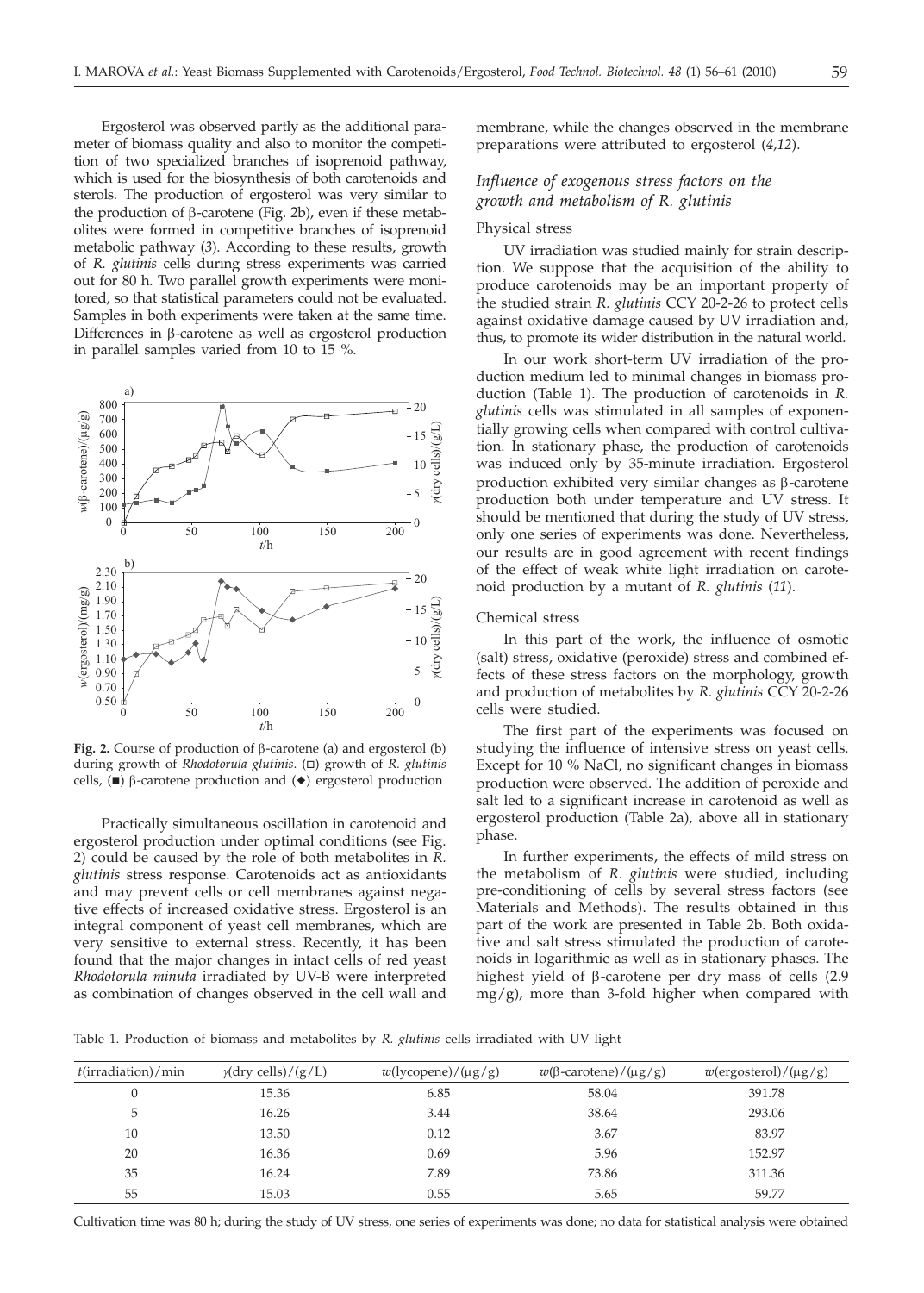Ergosterol was observed partly as the additional parameter of biomass quality and also to monitor the competition of two specialized branches of isoprenoid pathway, which is used for the biosynthesis of both carotenoids and sterols. The production of ergosterol was very similar to the production of  $\beta$ -carotene (Fig. 2b), even if these metabolites were formed in competitive branches of isoprenoid metabolic pathway (*3*). According to these results, growth of *R. glutinis* cells during stress experiments was carried out for 80 h. Two parallel growth experiments were monitored, so that statistical parameters could not be evaluated. Samples in both experiments were taken at the same time. Differences in b-carotene as well as ergosterol production in parallel samples varied from 10 to 15 %.



Fig. 2. Course of production of  $\beta$ -carotene (a) and ergosterol (b) during growth of *Rhodotorula glutinis*. ( $\Box$ ) growth of *R. glutinis* cells,  $(\blacksquare)$   $\beta$ -carotene production and  $(\blacklozenge)$  ergosterol production

Practically simultaneous oscillation in carotenoid and ergosterol production under optimal conditions (see Fig. 2) could be caused by the role of both metabolites in *R. glutinis* stress response. Carotenoids act as antioxidants and may prevent cells or cell membranes against negative effects of increased oxidative stress. Ergosterol is an integral component of yeast cell membranes, which are very sensitive to external stress. Recently, it has been found that the major changes in intact cells of red yeast *Rhodotorula minuta* irradiated by UV-B were interpreted as combination of changes observed in the cell wall and

membrane, while the changes observed in the membrane preparations were attributed to ergosterol (*4,12*).

# *Influence of exogenous stress factors on the growth and metabolism of R. glutinis*

#### Physical stress

UV irradiation was studied mainly for strain description. We suppose that the acquisition of the ability to produce carotenoids may be an important property of the studied strain *R. glutinis* CCY 20-2-26 to protect cells against oxidative damage caused by UV irradiation and, thus, to promote its wider distribution in the natural world.

In our work short-term UV irradiation of the production medium led to minimal changes in biomass production (Table 1). The production of carotenoids in *R. glutinis* cells was stimulated in all samples of exponentially growing cells when compared with control cultivation. In stationary phase, the production of carotenoids was induced only by 35-minute irradiation. Ergosterol production exhibited very similar changes as  $\beta$ -carotene production both under temperature and UV stress. It should be mentioned that during the study of UV stress, only one series of experiments was done. Nevertheless, our results are in good agreement with recent findings of the effect of weak white light irradiation on carotenoid production by a mutant of *R. glutinis* (*11*).

#### Chemical stress

In this part of the work, the influence of osmotic (salt) stress, oxidative (peroxide) stress and combined effects of these stress factors on the morphology, growth and production of metabolites by *R. glutinis* CCY 20-2-26 cells were studied.

The first part of the experiments was focused on studying the influence of intensive stress on yeast cells. Except for 10 % NaCl, no significant changes in biomass production were observed. The addition of peroxide and salt led to a significant increase in carotenoid as well as ergosterol production (Table 2a), above all in stationary phase.

In further experiments, the effects of mild stress on the metabolism of *R. glutinis* were studied, including pre-conditioning of cells by several stress factors (see Materials and Methods). The results obtained in this part of the work are presented in Table 2b. Both oxidative and salt stress stimulated the production of carotenoids in logarithmic as well as in stationary phases. The highest yield of  $\beta$ -carotene per dry mass of cells (2.9)  $mg/g$ ), more than 3-fold higher when compared with

Table 1. Production of biomass and metabolites by *R. glutinis* cells irradiated with UV light

| $t$ (irradiation)/min | $\gamma$ (dry cells)/(g/L) | $w$ (lycopene)/( $\mu$ g/g) | $w(\beta$ -carotene)/( $\mu$ g/g) | $w$ (ergosterol)/( $\mu$ g/g) |
|-----------------------|----------------------------|-----------------------------|-----------------------------------|-------------------------------|
|                       | 15.36                      | 6.85                        | 58.04                             | 391.78                        |
| 5                     | 16.26                      | 3.44                        | 38.64                             | 293.06                        |
| 10                    | 13.50                      | 0.12                        | 3.67                              | 83.97                         |
| 20                    | 16.36                      | 0.69                        | 5.96                              | 152.97                        |
| 35                    | 16.24                      | 7.89                        | 73.86                             | 311.36                        |
| 55                    | 15.03                      | 0.55                        | 5.65                              | 59.77                         |

Cultivation time was 80 h; during the study of UV stress, one series of experiments was done; no data for statistical analysis were obtained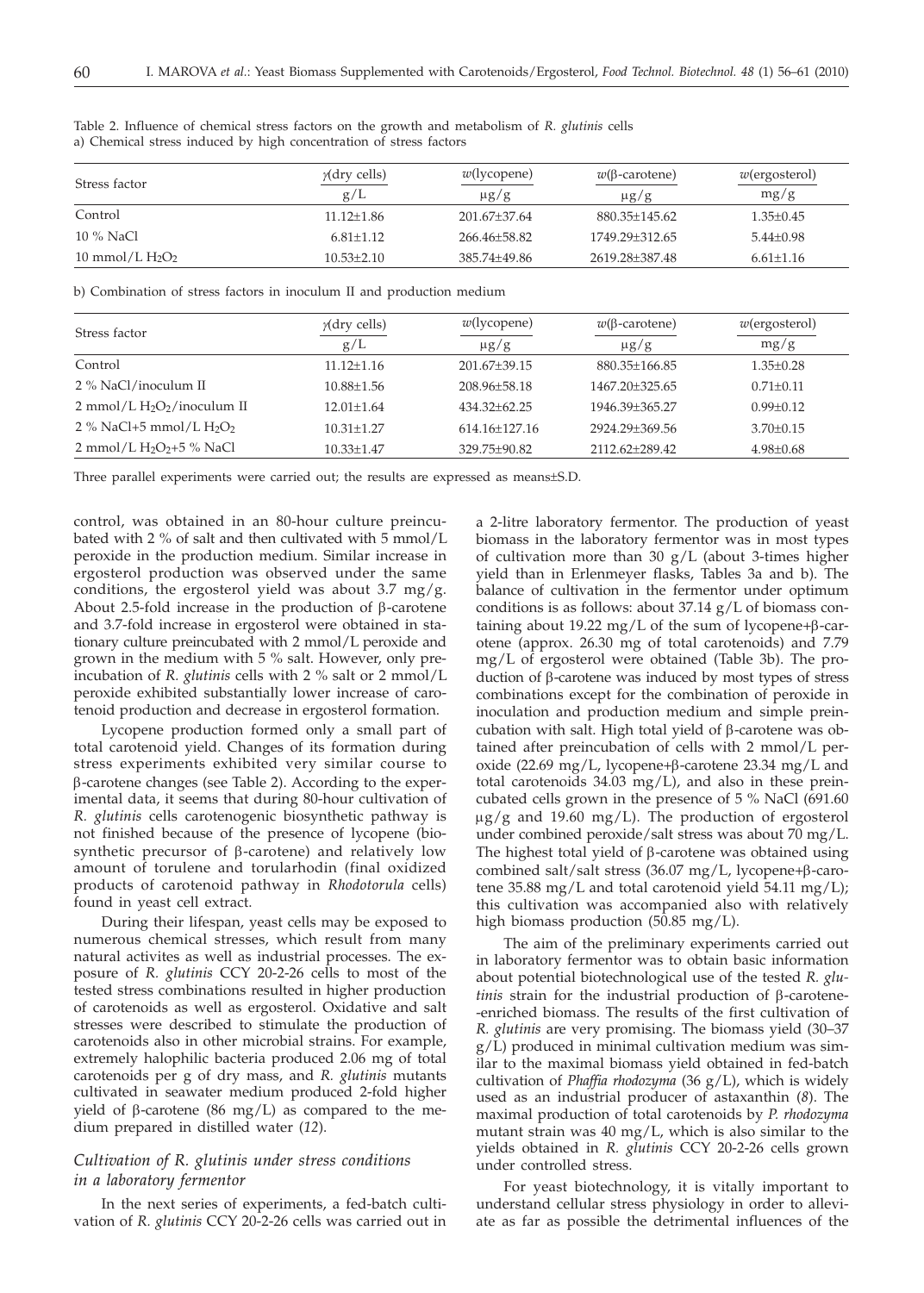| Stress factor      | $\gamma$ (dry cells) | $w$ (lycopene) | $w(\beta$ -carotene) | $w$ (ergosterol) |
|--------------------|----------------------|----------------|----------------------|------------------|
|                    | g/L                  | $\mu$ g/g      | $\mu$ g/g            | mg/g             |
| Control            | $11.12 \pm 1.86$     | 201.67±37.64   | 880.35+145.62        | $1.35 \pm 0.45$  |
| 10 % NaCl          | $6.81 + 1.12$        | 266.46+58.82   | 1749.29+312.65       | $5.44 \pm 0.98$  |
| 10 mmol/L $H_2O_2$ | $10.53 + 2.10$       | 385.74+49.86   | 2619.28+387.48       | $6.61 \pm 1.16$  |

Table 2. Influence of chemical stress factors on the growth and metabolism of *R. glutinis* cells a) Chemical stress induced by high concentration of stress factors

b) Combination of stress factors in inoculum II and production medium

| Stress factor                                         | $\gamma$ (dry cells) | $w$ (lycopene)      | $w(\beta$ -carotene) | $w$ (ergosterol) |
|-------------------------------------------------------|----------------------|---------------------|----------------------|------------------|
|                                                       | g/L                  | $\mu$ g/g           | $\mu$ g/g            | mg/g             |
| Control                                               | $11.12 + 1.16$       | $201.67 + 39.15$    | 880.35+166.85        | $1.35 + 0.28$    |
| 2 % NaCl/inoculum II                                  | $10.88 + 1.56$       | $208.96 + 58.18$    | 1467.20+325.65       | $0.71 + 0.11$    |
| $2$ mmol/L H <sub>2</sub> O <sub>2</sub> /inoculum II | $12.01 + 1.64$       | $434.32 + 62.25$    | 1946.39+365.27       | $0.99 + 0.12$    |
| 2 % NaCl+5 mmol/L $H_2O_2$                            | $10.31 + 1.27$       | $614.16 \pm 127.16$ | 2924.29+369.56       | $3.70 + 0.15$    |
| 2 mmol/L $H_2O_2 + 5$ % NaCl                          | $10.33 \pm 1.47$     | 329.75±90.82        | 2112.62+289.42       | $4.98 \pm 0.68$  |

Three parallel experiments were carried out; the results are expressed as means±S.D.

control, was obtained in an 80-hour culture preincubated with 2 % of salt and then cultivated with 5 mmol/L peroxide in the production medium. Similar increase in ergosterol production was observed under the same conditions, the ergosterol yield was about 3.7 mg/g. About 2.5-fold increase in the production of  $\beta$ -carotene and 3.7-fold increase in ergosterol were obtained in stationary culture preincubated with 2 mmol/L peroxide and grown in the medium with 5 % salt. However, only preincubation of *R. glutinis* cells with 2 % salt or 2 mmol/L peroxide exhibited substantially lower increase of carotenoid production and decrease in ergosterol formation.

Lycopene production formed only a small part of total carotenoid yield. Changes of its formation during stress experiments exhibited very similar course to b-carotene changes (see Table 2). According to the experimental data, it seems that during 80-hour cultivation of *R. glutinis* cells carotenogenic biosynthetic pathway is not finished because of the presence of lycopene (biosynthetic precursor of  $\beta$ -carotene) and relatively low amount of torulene and torularhodin (final oxidized products of carotenoid pathway in *Rhodotorula* cells) found in yeast cell extract.

During their lifespan, yeast cells may be exposed to numerous chemical stresses, which result from many natural activites as well as industrial processes. The exposure of *R. glutinis* CCY 20-2-26 cells to most of the tested stress combinations resulted in higher production of carotenoids as well as ergosterol. Oxidative and salt stresses were described to stimulate the production of carotenoids also in other microbial strains. For example, extremely halophilic bacteria produced 2.06 mg of total carotenoids per g of dry mass, and *R. glutinis* mutants cultivated in seawater medium produced 2-fold higher yield of  $\beta$ -carotene (86 mg/L) as compared to the medium prepared in distilled water (*12*).

# *Cultivation of R. glutinis under stress conditions in a laboratory fermentor*

In the next series of experiments, a fed-batch cultivation of *R. glutinis* CCY 20-2-26 cells was carried out in a 2-litre laboratory fermentor. The production of yeast biomass in the laboratory fermentor was in most types of cultivation more than 30 g/L (about 3-times higher yield than in Erlenmeyer flasks, Tables 3a and b). The balance of cultivation in the fermentor under optimum conditions is as follows: about 37.14 g/L of biomass containing about 19.22 mg/L of the sum of lycopene+ $\beta$ -carotene (approx. 26.30 mg of total carotenoids) and 7.79 mg/L of ergosterol were obtained (Table 3b). The production of  $\beta$ -carotene was induced by most types of stress combinations except for the combination of peroxide in inoculation and production medium and simple preincubation with salt. High total yield of  $\beta$ -carotene was obtained after preincubation of cells with 2 mmol/L peroxide (22.69 mg/L, lycopene+ $\beta$ -carotene 23.34 mg/L and total carotenoids 34.03 mg/L), and also in these preincubated cells grown in the presence of 5 % NaCl (691.60  $\mu$ g/g and 19.60 mg/L). The production of ergosterol under combined peroxide/salt stress was about 70 mg/L. The highest total yield of  $\beta$ -carotene was obtained using combined salt/salt stress  $(36.07 \text{ mg/L}, \text{lycopene+} \beta\text{-caro-}$ tene 35.88 mg/L and total carotenoid yield 54.11 mg/L); this cultivation was accompanied also with relatively high biomass production (50.85 mg/L).

The aim of the preliminary experiments carried out in laboratory fermentor was to obtain basic information about potential biotechnological use of the tested *R. glutinis* strain for the industrial production of β-carotene--enriched biomass. The results of the first cultivation of *R. glutinis* are very promising. The biomass yield (30–37 g/L) produced in minimal cultivation medium was similar to the maximal biomass yield obtained in fed-batch cultivation of *Phaffia rhodozyma* (36 g/L), which is widely used as an industrial producer of astaxanthin (*8*). The maximal production of total carotenoids by *P. rhodozyma* mutant strain was 40 mg/L, which is also similar to the yields obtained in *R. glutinis* CCY 20-2-26 cells grown under controlled stress.

For yeast biotechnology, it is vitally important to understand cellular stress physiology in order to alleviate as far as possible the detrimental influences of the